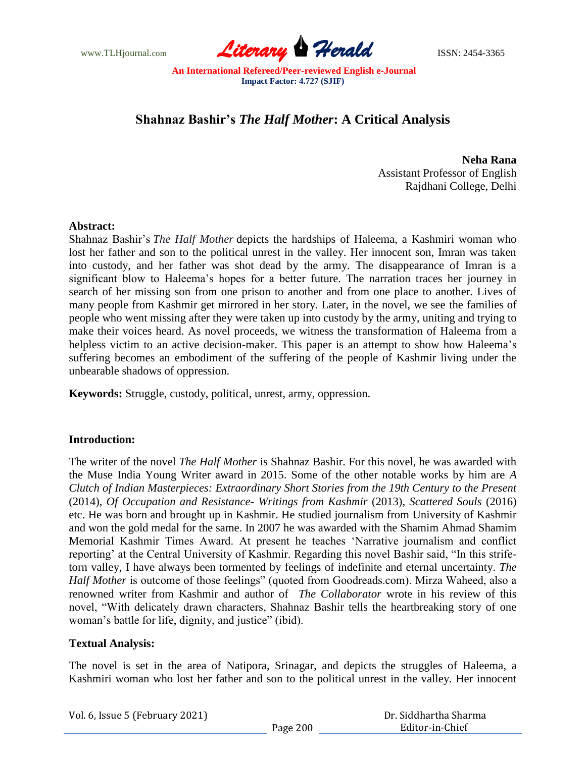

# **Shahnaz Bashir's** *The Half Mother***: A Critical Analysis**

**Neha Rana** Assistant Professor of English Rajdhani College, Delhi

### **Abstract:**

Shahnaz Bashir"s *The Half Mother* depicts the hardships of Haleema, a Kashmiri woman who lost her father and son to the political unrest in the valley. Her innocent son, Imran was taken into custody, and her father was shot dead by the army. The disappearance of Imran is a significant blow to Haleema's hopes for a better future. The narration traces her journey in search of her missing son from one prison to another and from one place to another. Lives of many people from Kashmir get mirrored in her story. Later, in the novel, we see the families of people who went missing after they were taken up into custody by the army, uniting and trying to make their voices heard. As novel proceeds, we witness the transformation of Haleema from a helpless victim to an active decision-maker. This paper is an attempt to show how Haleema's suffering becomes an embodiment of the suffering of the people of Kashmir living under the unbearable shadows of oppression.

**Keywords:** Struggle, custody, political, unrest, army, oppression.

## **Introduction:**

The writer of the novel *The Half Mother* is Shahnaz Bashir. For this novel, he was awarded with the Muse India Young Writer award in 2015. Some of the other notable works by him are *A Clutch of Indian Masterpieces: Extraordinary Short Stories from the 19th Century to the Present* (2014), *Of Occupation and Resistance- Writings from Kashmir* (2013), *Scattered Souls* (2016) etc. He was born and brought up in Kashmir. He studied journalism from University of Kashmir and won the gold medal for the same. In 2007 he was awarded with the Shamim Ahmad Shamim Memorial Kashmir Times Award. At present he teaches "Narrative journalism and conflict reporting" at the Central University of Kashmir. Regarding this novel Bashir said, "In this strifetorn valley, I have always been tormented by feelings of indefinite and eternal uncertainty. *The Half Mother* is outcome of those feelings" (quoted from Goodreads.com). Mirza Waheed, also a renowned writer from Kashmir and author of *The Collaborator* wrote in his review of this novel, "With delicately drawn characters, Shahnaz Bashir tells the heartbreaking story of one woman"s battle for life, dignity, and justice" (ibid).

## **Textual Analysis:**

The novel is set in the area of Natipora, Srinagar, and depicts the struggles of Haleema, a Kashmiri woman who lost her father and son to the political unrest in the valley. Her innocent

| Vol. 6, Issue 5 (February 2021) |          | Dr. Siddhartha Sharma |
|---------------------------------|----------|-----------------------|
|                                 | Page 200 | Editor-in-Chief       |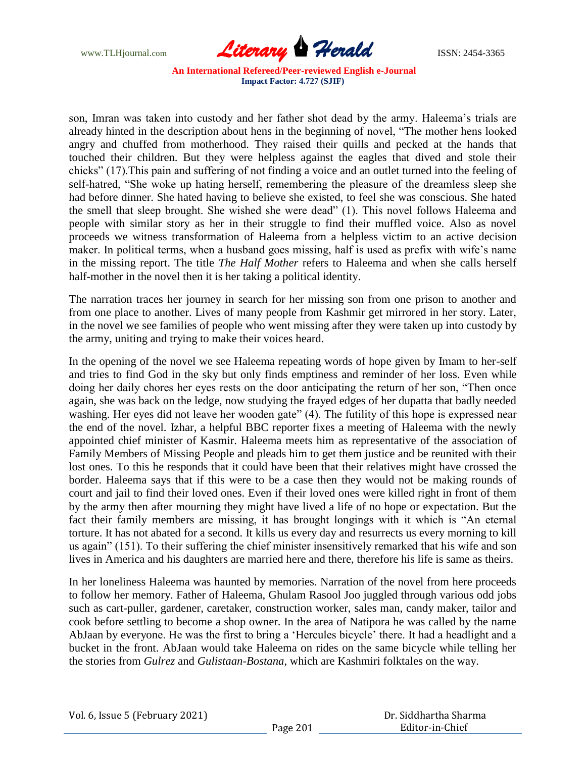

son, Imran was taken into custody and her father shot dead by the army. Haleema's trials are already hinted in the description about hens in the beginning of novel, "The mother hens looked angry and chuffed from motherhood. They raised their quills and pecked at the hands that touched their children. But they were helpless against the eagles that dived and stole their chicks" (17).This pain and suffering of not finding a voice and an outlet turned into the feeling of self-hatred, "She woke up hating herself, remembering the pleasure of the dreamless sleep she had before dinner. She hated having to believe she existed, to feel she was conscious. She hated the smell that sleep brought. She wished she were dead" (1). This novel follows Haleema and people with similar story as her in their struggle to find their muffled voice. Also as novel proceeds we witness transformation of Haleema from a helpless victim to an active decision maker. In political terms, when a husband goes missing, half is used as prefix with wife's name in the missing report. The title *The Half Mother* refers to Haleema and when she calls herself half-mother in the novel then it is her taking a political identity.

The narration traces her journey in search for her missing son from one prison to another and from one place to another. Lives of many people from Kashmir get mirrored in her story. Later, in the novel we see families of people who went missing after they were taken up into custody by the army, uniting and trying to make their voices heard.

In the opening of the novel we see Haleema repeating words of hope given by Imam to her-self and tries to find God in the sky but only finds emptiness and reminder of her loss. Even while doing her daily chores her eyes rests on the door anticipating the return of her son, "Then once again, she was back on the ledge, now studying the frayed edges of her dupatta that badly needed washing. Her eyes did not leave her wooden gate" (4). The futility of this hope is expressed near the end of the novel. Izhar, a helpful BBC reporter fixes a meeting of Haleema with the newly appointed chief minister of Kasmir. Haleema meets him as representative of the association of Family Members of Missing People and pleads him to get them justice and be reunited with their lost ones. To this he responds that it could have been that their relatives might have crossed the border. Haleema says that if this were to be a case then they would not be making rounds of court and jail to find their loved ones. Even if their loved ones were killed right in front of them by the army then after mourning they might have lived a life of no hope or expectation. But the fact their family members are missing, it has brought longings with it which is "An eternal torture. It has not abated for a second. It kills us every day and resurrects us every morning to kill us again" (151). To their suffering the chief minister insensitively remarked that his wife and son lives in America and his daughters are married here and there, therefore his life is same as theirs.

In her loneliness Haleema was haunted by memories. Narration of the novel from here proceeds to follow her memory. Father of Haleema, Ghulam Rasool Joo juggled through various odd jobs such as cart-puller, gardener, caretaker, construction worker, sales man, candy maker, tailor and cook before settling to become a shop owner. In the area of Natipora he was called by the name AbJaan by everyone. He was the first to bring a "Hercules bicycle" there. It had a headlight and a bucket in the front. AbJaan would take Haleema on rides on the same bicycle while telling her the stories from *Gulrez* and *Gulistaan-Bostana*, which are Kashmiri folktales on the way.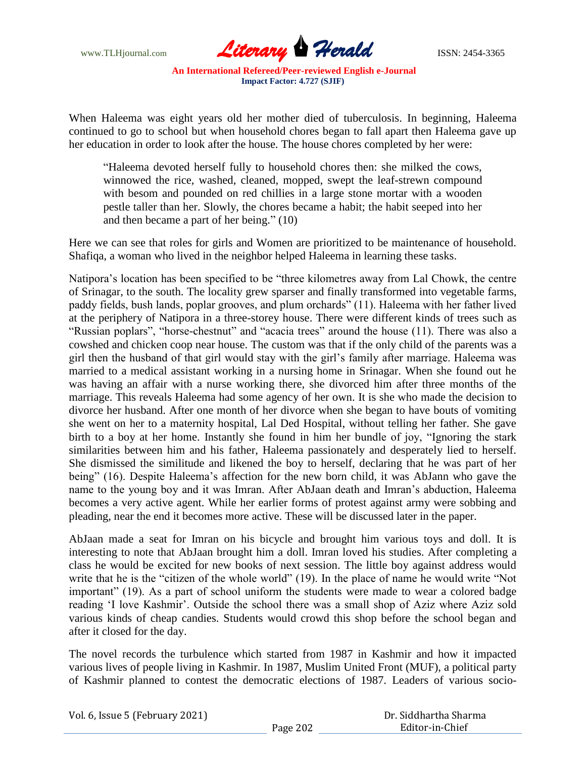

When Haleema was eight years old her mother died of tuberculosis. In beginning, Haleema continued to go to school but when household chores began to fall apart then Haleema gave up her education in order to look after the house. The house chores completed by her were:

"Haleema devoted herself fully to household chores then: she milked the cows, winnowed the rice, washed, cleaned, mopped, swept the leaf-strewn compound with besom and pounded on red chillies in a large stone mortar with a wooden pestle taller than her. Slowly, the chores became a habit; the habit seeped into her and then became a part of her being." (10)

Here we can see that roles for girls and Women are prioritized to be maintenance of household. Shafiqa, a woman who lived in the neighbor helped Haleema in learning these tasks.

Natipora"s location has been specified to be "three kilometres away from Lal Chowk, the centre of Srinagar, to the south. The locality grew sparser and finally transformed into vegetable farms, paddy fields, bush lands, poplar grooves, and plum orchards" (11). Haleema with her father lived at the periphery of Natipora in a three-storey house. There were different kinds of trees such as "Russian poplars", "horse-chestnut" and "acacia trees" around the house (11). There was also a cowshed and chicken coop near house. The custom was that if the only child of the parents was a girl then the husband of that girl would stay with the girl"s family after marriage. Haleema was married to a medical assistant working in a nursing home in Srinagar. When she found out he was having an affair with a nurse working there, she divorced him after three months of the marriage. This reveals Haleema had some agency of her own. It is she who made the decision to divorce her husband. After one month of her divorce when she began to have bouts of vomiting she went on her to a maternity hospital, Lal Ded Hospital, without telling her father. She gave birth to a boy at her home. Instantly she found in him her bundle of joy, "Ignoring the stark similarities between him and his father, Haleema passionately and desperately lied to herself. She dismissed the similitude and likened the boy to herself, declaring that he was part of her being" (16). Despite Haleema's affection for the new born child, it was AbJann who gave the name to the young boy and it was Imran. After AbJaan death and Imran"s abduction, Haleema becomes a very active agent. While her earlier forms of protest against army were sobbing and pleading, near the end it becomes more active. These will be discussed later in the paper.

AbJaan made a seat for Imran on his bicycle and brought him various toys and doll. It is interesting to note that AbJaan brought him a doll. Imran loved his studies. After completing a class he would be excited for new books of next session. The little boy against address would write that he is the "citizen of the whole world" (19). In the place of name he would write "Not important" (19). As a part of school uniform the students were made to wear a colored badge reading "I love Kashmir". Outside the school there was a small shop of Aziz where Aziz sold various kinds of cheap candies. Students would crowd this shop before the school began and after it closed for the day.

The novel records the turbulence which started from 1987 in Kashmir and how it impacted various lives of people living in Kashmir. In 1987, Muslim United Front (MUF), a political party of Kashmir planned to contest the democratic elections of 1987. Leaders of various socio-

| Vol. 6, Issue 5 (February 2021) | Dr. Siddhartha Sharma |                 |
|---------------------------------|-----------------------|-----------------|
|                                 | Page 202              | Editor-in-Chief |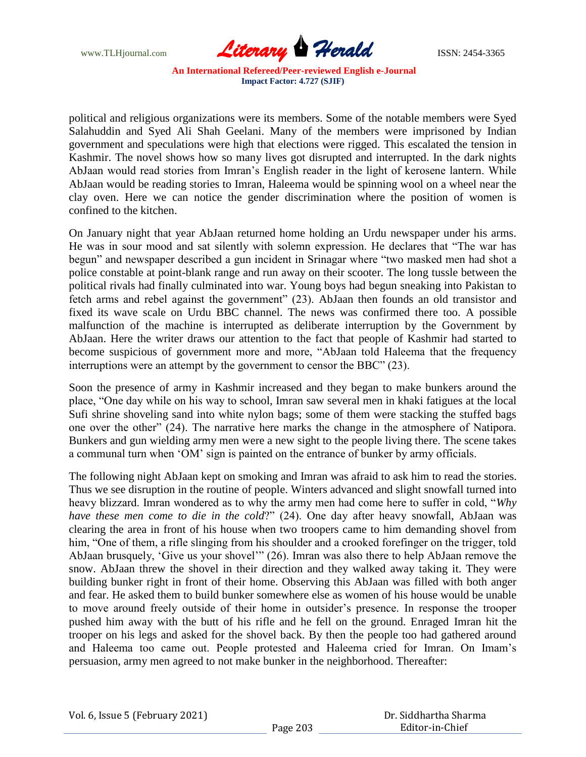

political and religious organizations were its members. Some of the notable members were Syed Salahuddin and Syed Ali Shah Geelani. Many of the members were imprisoned by Indian government and speculations were high that elections were rigged. This escalated the tension in Kashmir. The novel shows how so many lives got disrupted and interrupted. In the dark nights AbJaan would read stories from Imran"s English reader in the light of kerosene lantern. While AbJaan would be reading stories to Imran, Haleema would be spinning wool on a wheel near the clay oven. Here we can notice the gender discrimination where the position of women is confined to the kitchen.

On January night that year AbJaan returned home holding an Urdu newspaper under his arms. He was in sour mood and sat silently with solemn expression. He declares that "The war has begun" and newspaper described a gun incident in Srinagar where "two masked men had shot a police constable at point-blank range and run away on their scooter. The long tussle between the political rivals had finally culminated into war. Young boys had begun sneaking into Pakistan to fetch arms and rebel against the government" (23). AbJaan then founds an old transistor and fixed its wave scale on Urdu BBC channel. The news was confirmed there too. A possible malfunction of the machine is interrupted as deliberate interruption by the Government by AbJaan. Here the writer draws our attention to the fact that people of Kashmir had started to become suspicious of government more and more, "AbJaan told Haleema that the frequency interruptions were an attempt by the government to censor the BBC" (23).

Soon the presence of army in Kashmir increased and they began to make bunkers around the place, "One day while on his way to school, Imran saw several men in khaki fatigues at the local Sufi shrine shoveling sand into white nylon bags; some of them were stacking the stuffed bags one over the other" (24). The narrative here marks the change in the atmosphere of Natipora. Bunkers and gun wielding army men were a new sight to the people living there. The scene takes a communal turn when "OM" sign is painted on the entrance of bunker by army officials.

The following night AbJaan kept on smoking and Imran was afraid to ask him to read the stories. Thus we see disruption in the routine of people. Winters advanced and slight snowfall turned into heavy blizzard. Imran wondered as to why the army men had come here to suffer in cold, "*Why have these men come to die in the cold*?" (24). One day after heavy snowfall, AbJaan was clearing the area in front of his house when two troopers came to him demanding shovel from him, "One of them, a rifle slinging from his shoulder and a crooked forefinger on the trigger, told AbJaan brusquely, "Give us your shovel"" (26). Imran was also there to help AbJaan remove the snow. AbJaan threw the shovel in their direction and they walked away taking it. They were building bunker right in front of their home. Observing this AbJaan was filled with both anger and fear. He asked them to build bunker somewhere else as women of his house would be unable to move around freely outside of their home in outsider"s presence. In response the trooper pushed him away with the butt of his rifle and he fell on the ground. Enraged Imran hit the trooper on his legs and asked for the shovel back. By then the people too had gathered around and Haleema too came out. People protested and Haleema cried for Imran. On Imam"s persuasion, army men agreed to not make bunker in the neighborhood. Thereafter: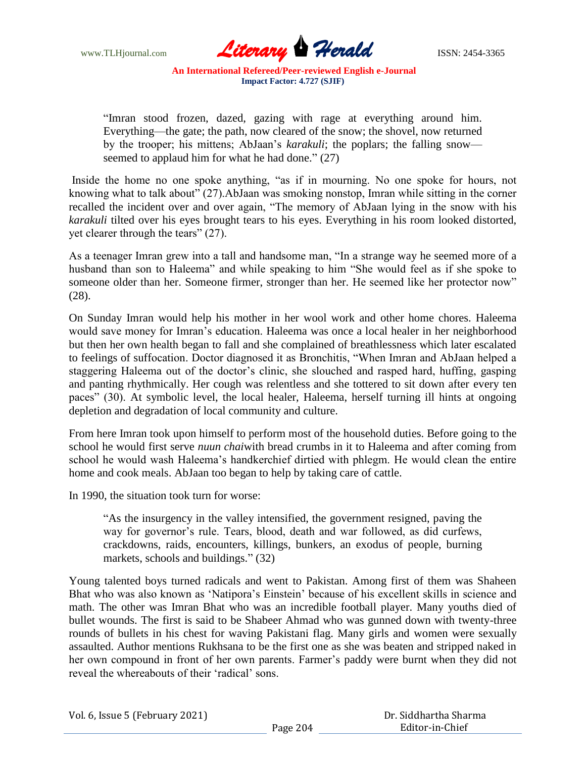

"Imran stood frozen, dazed, gazing with rage at everything around him. Everything—the gate; the path, now cleared of the snow; the shovel, now returned by the trooper; his mittens; AbJaan"s *karakuli*; the poplars; the falling snow seemed to applaud him for what he had done." (27)

Inside the home no one spoke anything, "as if in mourning. No one spoke for hours, not knowing what to talk about" (27).AbJaan was smoking nonstop, Imran while sitting in the corner recalled the incident over and over again, "The memory of AbJaan lying in the snow with his *karakuli* tilted over his eyes brought tears to his eyes. Everything in his room looked distorted, yet clearer through the tears" (27).

As a teenager Imran grew into a tall and handsome man, "In a strange way he seemed more of a husband than son to Haleema" and while speaking to him "She would feel as if she spoke to someone older than her. Someone firmer, stronger than her. He seemed like her protector now" (28).

On Sunday Imran would help his mother in her wool work and other home chores. Haleema would save money for Imran"s education. Haleema was once a local healer in her neighborhood but then her own health began to fall and she complained of breathlessness which later escalated to feelings of suffocation. Doctor diagnosed it as Bronchitis, "When Imran and AbJaan helped a staggering Haleema out of the doctor's clinic, she slouched and rasped hard, huffing, gasping and panting rhythmically. Her cough was relentless and she tottered to sit down after every ten paces" (30). At symbolic level, the local healer, Haleema, herself turning ill hints at ongoing depletion and degradation of local community and culture.

From here Imran took upon himself to perform most of the household duties. Before going to the school he would first serve *nuun chai*with bread crumbs in it to Haleema and after coming from school he would wash Haleema"s handkerchief dirtied with phlegm. He would clean the entire home and cook meals. AbJaan too began to help by taking care of cattle.

In 1990, the situation took turn for worse:

"As the insurgency in the valley intensified, the government resigned, paving the way for governor's rule. Tears, blood, death and war followed, as did curfews, crackdowns, raids, encounters, killings, bunkers, an exodus of people, burning markets, schools and buildings." (32)

Young talented boys turned radicals and went to Pakistan. Among first of them was Shaheen Bhat who was also known as "Natipora"s Einstein" because of his excellent skills in science and math. The other was Imran Bhat who was an incredible football player. Many youths died of bullet wounds. The first is said to be Shabeer Ahmad who was gunned down with twenty-three rounds of bullets in his chest for waving Pakistani flag. Many girls and women were sexually assaulted. Author mentions Rukhsana to be the first one as she was beaten and stripped naked in her own compound in front of her own parents. Farmer's paddy were burnt when they did not reveal the whereabouts of their "radical" sons.

|  |  | Vol. 6, Issue 5 (February 2021) |  |
|--|--|---------------------------------|--|
|--|--|---------------------------------|--|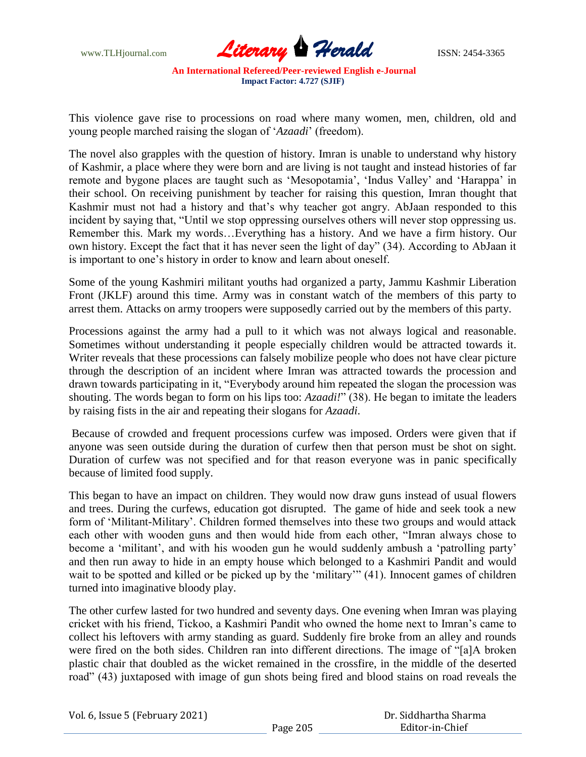

This violence gave rise to processions on road where many women, men, children, old and young people marched raising the slogan of "*Azaadi*" (freedom).

The novel also grapples with the question of history. Imran is unable to understand why history of Kashmir, a place where they were born and are living is not taught and instead histories of far remote and bygone places are taught such as "Mesopotamia", "Indus Valley" and "Harappa" in their school. On receiving punishment by teacher for raising this question, Imran thought that Kashmir must not had a history and that"s why teacher got angry. AbJaan responded to this incident by saying that, "Until we stop oppressing ourselves others will never stop oppressing us. Remember this. Mark my words…Everything has a history. And we have a firm history. Our own history. Except the fact that it has never seen the light of day" (34). According to AbJaan it is important to one"s history in order to know and learn about oneself.

Some of the young Kashmiri militant youths had organized a party, Jammu Kashmir Liberation Front (JKLF) around this time. Army was in constant watch of the members of this party to arrest them. Attacks on army troopers were supposedly carried out by the members of this party.

Processions against the army had a pull to it which was not always logical and reasonable. Sometimes without understanding it people especially children would be attracted towards it. Writer reveals that these processions can falsely mobilize people who does not have clear picture through the description of an incident where Imran was attracted towards the procession and drawn towards participating in it, "Everybody around him repeated the slogan the procession was shouting. The words began to form on his lips too: *Azaadi!*" (38). He began to imitate the leaders by raising fists in the air and repeating their slogans for *Azaadi*.

Because of crowded and frequent processions curfew was imposed. Orders were given that if anyone was seen outside during the duration of curfew then that person must be shot on sight. Duration of curfew was not specified and for that reason everyone was in panic specifically because of limited food supply.

This began to have an impact on children. They would now draw guns instead of usual flowers and trees. During the curfews, education got disrupted. The game of hide and seek took a new form of "Militant-Military". Children formed themselves into these two groups and would attack each other with wooden guns and then would hide from each other, "Imran always chose to become a 'militant', and with his wooden gun he would suddenly ambush a 'patrolling party' and then run away to hide in an empty house which belonged to a Kashmiri Pandit and would wait to be spotted and killed or be picked up by the 'military'" (41). Innocent games of children turned into imaginative bloody play.

The other curfew lasted for two hundred and seventy days. One evening when Imran was playing cricket with his friend, Tickoo, a Kashmiri Pandit who owned the home next to Imran"s came to collect his leftovers with army standing as guard. Suddenly fire broke from an alley and rounds were fired on the both sides. Children ran into different directions. The image of "[a]A broken plastic chair that doubled as the wicket remained in the crossfire, in the middle of the deserted road" (43) juxtaposed with image of gun shots being fired and blood stains on road reveals the

| Vol. 6, Issue 5 (February 2021) |          |
|---------------------------------|----------|
|                                 | Page 205 |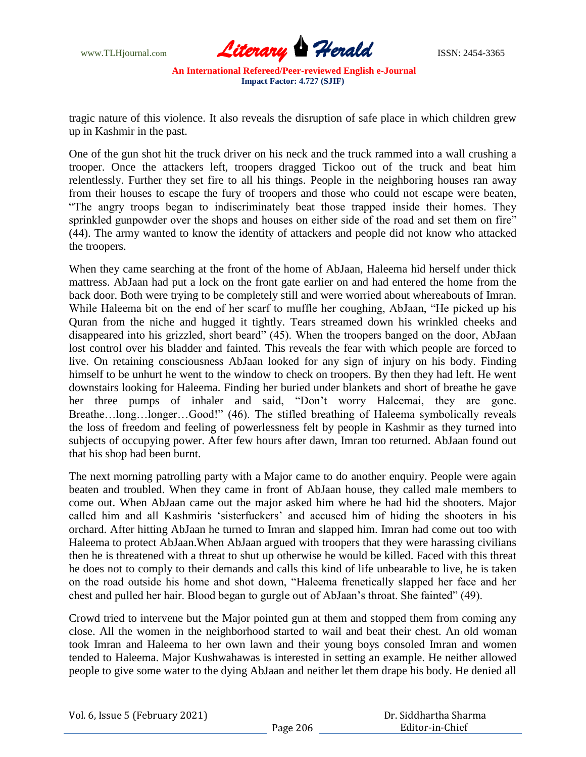

tragic nature of this violence. It also reveals the disruption of safe place in which children grew up in Kashmir in the past.

One of the gun shot hit the truck driver on his neck and the truck rammed into a wall crushing a trooper. Once the attackers left, troopers dragged Tickoo out of the truck and beat him relentlessly. Further they set fire to all his things. People in the neighboring houses ran away from their houses to escape the fury of troopers and those who could not escape were beaten, "The angry troops began to indiscriminately beat those trapped inside their homes. They sprinkled gunpowder over the shops and houses on either side of the road and set them on fire" (44). The army wanted to know the identity of attackers and people did not know who attacked the troopers.

When they came searching at the front of the home of AbJaan, Haleema hid herself under thick mattress. AbJaan had put a lock on the front gate earlier on and had entered the home from the back door. Both were trying to be completely still and were worried about whereabouts of Imran. While Haleema bit on the end of her scarf to muffle her coughing, AbJaan, "He picked up his Quran from the niche and hugged it tightly. Tears streamed down his wrinkled cheeks and disappeared into his grizzled, short beard" (45). When the troopers banged on the door, AbJaan lost control over his bladder and fainted. This reveals the fear with which people are forced to live. On retaining consciousness AbJaan looked for any sign of injury on his body. Finding himself to be unhurt he went to the window to check on troopers. By then they had left. He went downstairs looking for Haleema. Finding her buried under blankets and short of breathe he gave her three pumps of inhaler and said, "Don"t worry Haleemai, they are gone. Breathe…long…longer…Good!" (46). The stifled breathing of Haleema symbolically reveals the loss of freedom and feeling of powerlessness felt by people in Kashmir as they turned into subjects of occupying power. After few hours after dawn, Imran too returned. AbJaan found out that his shop had been burnt.

The next morning patrolling party with a Major came to do another enquiry. People were again beaten and troubled. When they came in front of AbJaan house, they called male members to come out. When AbJaan came out the major asked him where he had hid the shooters. Major called him and all Kashmiris "sisterfuckers" and accused him of hiding the shooters in his orchard. After hitting AbJaan he turned to Imran and slapped him. Imran had come out too with Haleema to protect AbJaan.When AbJaan argued with troopers that they were harassing civilians then he is threatened with a threat to shut up otherwise he would be killed. Faced with this threat he does not to comply to their demands and calls this kind of life unbearable to live, he is taken on the road outside his home and shot down, "Haleema frenetically slapped her face and her chest and pulled her hair. Blood began to gurgle out of AbJaan"s throat. She fainted" (49).

Crowd tried to intervene but the Major pointed gun at them and stopped them from coming any close. All the women in the neighborhood started to wail and beat their chest. An old woman took Imran and Haleema to her own lawn and their young boys consoled Imran and women tended to Haleema. Major Kushwahawas is interested in setting an example. He neither allowed people to give some water to the dying AbJaan and neither let them drape his body. He denied all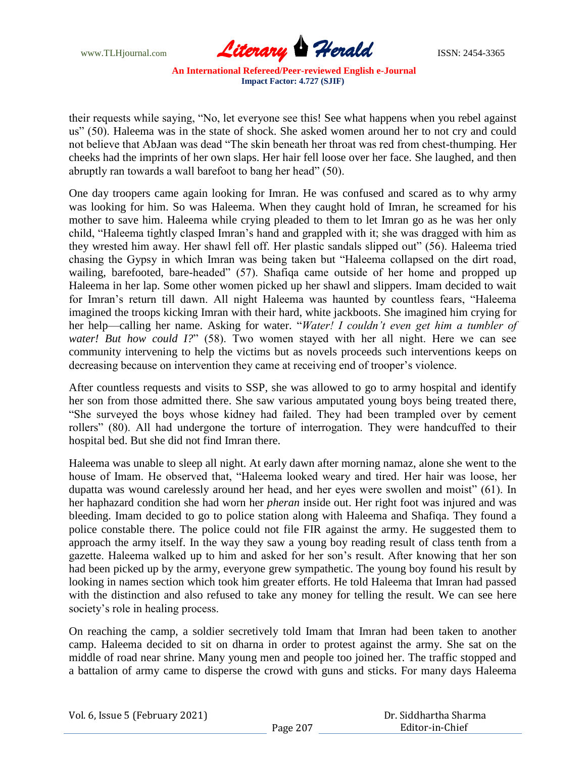

their requests while saying, "No, let everyone see this! See what happens when you rebel against us" (50). Haleema was in the state of shock. She asked women around her to not cry and could not believe that AbJaan was dead "The skin beneath her throat was red from chest-thumping. Her cheeks had the imprints of her own slaps. Her hair fell loose over her face. She laughed, and then abruptly ran towards a wall barefoot to bang her head" (50).

One day troopers came again looking for Imran. He was confused and scared as to why army was looking for him. So was Haleema. When they caught hold of Imran, he screamed for his mother to save him. Haleema while crying pleaded to them to let Imran go as he was her only child, "Haleema tightly clasped Imran"s hand and grappled with it; she was dragged with him as they wrested him away. Her shawl fell off. Her plastic sandals slipped out" (56). Haleema tried chasing the Gypsy in which Imran was being taken but "Haleema collapsed on the dirt road, wailing, barefooted, bare-headed" (57). Shafiqa came outside of her home and propped up Haleema in her lap. Some other women picked up her shawl and slippers. Imam decided to wait for Imran"s return till dawn. All night Haleema was haunted by countless fears, "Haleema imagined the troops kicking Imran with their hard, white jackboots. She imagined him crying for her help—calling her name. Asking for water. "*Water! I couldn't even get him a tumbler of water! But how could I?*" (58). Two women stayed with her all night. Here we can see community intervening to help the victims but as novels proceeds such interventions keeps on decreasing because on intervention they came at receiving end of trooper"s violence.

After countless requests and visits to SSP, she was allowed to go to army hospital and identify her son from those admitted there. She saw various amputated young boys being treated there, "She surveyed the boys whose kidney had failed. They had been trampled over by cement rollers" (80). All had undergone the torture of interrogation. They were handcuffed to their hospital bed. But she did not find Imran there.

Haleema was unable to sleep all night. At early dawn after morning namaz, alone she went to the house of Imam. He observed that, "Haleema looked weary and tired. Her hair was loose, her dupatta was wound carelessly around her head, and her eyes were swollen and moist" (61). In her haphazard condition she had worn her *pheran* inside out. Her right foot was injured and was bleeding. Imam decided to go to police station along with Haleema and Shafiqa. They found a police constable there. The police could not file FIR against the army. He suggested them to approach the army itself. In the way they saw a young boy reading result of class tenth from a gazette. Haleema walked up to him and asked for her son"s result. After knowing that her son had been picked up by the army, everyone grew sympathetic. The young boy found his result by looking in names section which took him greater efforts. He told Haleema that Imran had passed with the distinction and also refused to take any money for telling the result. We can see here society's role in healing process.

On reaching the camp, a soldier secretively told Imam that Imran had been taken to another camp. Haleema decided to sit on dharna in order to protest against the army. She sat on the middle of road near shrine. Many young men and people too joined her. The traffic stopped and a battalion of army came to disperse the crowd with guns and sticks. For many days Haleema

| Vol. 6, Issue 5 (February 2021) |  |
|---------------------------------|--|
|---------------------------------|--|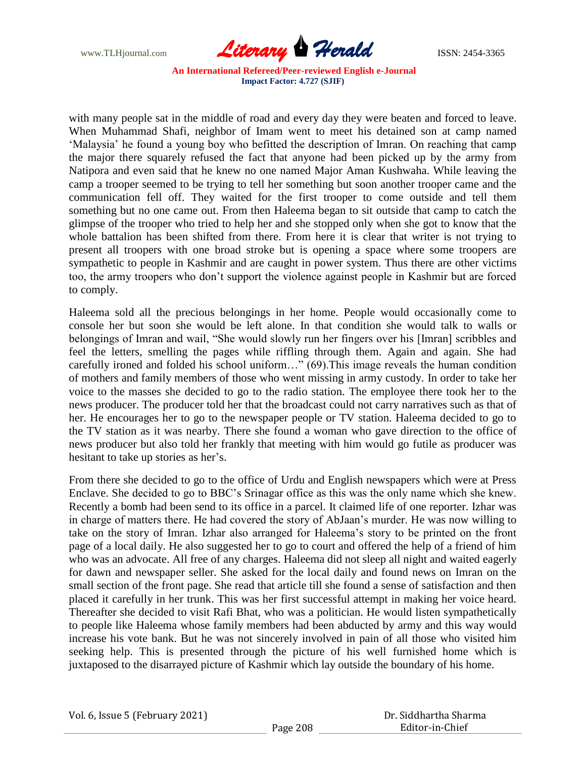

with many people sat in the middle of road and every day they were beaten and forced to leave. When Muhammad Shafi, neighbor of Imam went to meet his detained son at camp named 'Malaysia' he found a young boy who befitted the description of Imran. On reaching that camp the major there squarely refused the fact that anyone had been picked up by the army from Natipora and even said that he knew no one named Major Aman Kushwaha. While leaving the camp a trooper seemed to be trying to tell her something but soon another trooper came and the communication fell off. They waited for the first trooper to come outside and tell them something but no one came out. From then Haleema began to sit outside that camp to catch the glimpse of the trooper who tried to help her and she stopped only when she got to know that the whole battalion has been shifted from there. From here it is clear that writer is not trying to present all troopers with one broad stroke but is opening a space where some troopers are sympathetic to people in Kashmir and are caught in power system. Thus there are other victims too, the army troopers who don"t support the violence against people in Kashmir but are forced to comply.

Haleema sold all the precious belongings in her home. People would occasionally come to console her but soon she would be left alone. In that condition she would talk to walls or belongings of Imran and wail, "She would slowly run her fingers over his [Imran] scribbles and feel the letters, smelling the pages while riffling through them. Again and again. She had carefully ironed and folded his school uniform…" (69). This image reveals the human condition of mothers and family members of those who went missing in army custody. In order to take her voice to the masses she decided to go to the radio station. The employee there took her to the news producer. The producer told her that the broadcast could not carry narratives such as that of her. He encourages her to go to the newspaper people or TV station. Haleema decided to go to the TV station as it was nearby. There she found a woman who gave direction to the office of news producer but also told her frankly that meeting with him would go futile as producer was hesitant to take up stories as her's.

From there she decided to go to the office of Urdu and English newspapers which were at Press Enclave. She decided to go to BBC"s Srinagar office as this was the only name which she knew. Recently a bomb had been send to its office in a parcel. It claimed life of one reporter. Izhar was in charge of matters there. He had covered the story of AbJaan"s murder. He was now willing to take on the story of Imran. Izhar also arranged for Haleema"s story to be printed on the front page of a local daily. He also suggested her to go to court and offered the help of a friend of him who was an advocate. All free of any charges. Haleema did not sleep all night and waited eagerly for dawn and newspaper seller. She asked for the local daily and found news on Imran on the small section of the front page. She read that article till she found a sense of satisfaction and then placed it carefully in her trunk. This was her first successful attempt in making her voice heard. Thereafter she decided to visit Rafi Bhat, who was a politician. He would listen sympathetically to people like Haleema whose family members had been abducted by army and this way would increase his vote bank. But he was not sincerely involved in pain of all those who visited him seeking help. This is presented through the picture of his well furnished home which is juxtaposed to the disarrayed picture of Kashmir which lay outside the boundary of his home.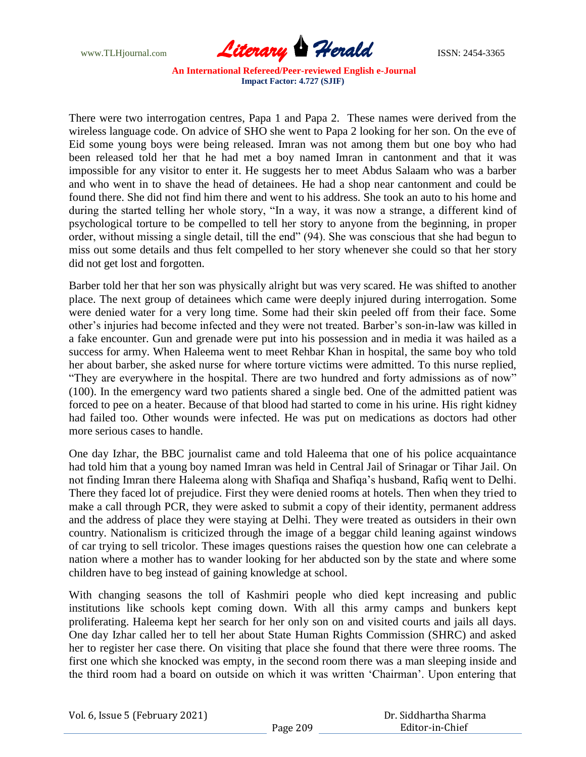

There were two interrogation centres, Papa 1 and Papa 2. These names were derived from the wireless language code. On advice of SHO she went to Papa 2 looking for her son. On the eve of Eid some young boys were being released. Imran was not among them but one boy who had been released told her that he had met a boy named Imran in cantonment and that it was impossible for any visitor to enter it. He suggests her to meet Abdus Salaam who was a barber and who went in to shave the head of detainees. He had a shop near cantonment and could be found there. She did not find him there and went to his address. She took an auto to his home and during the started telling her whole story, "In a way, it was now a strange, a different kind of psychological torture to be compelled to tell her story to anyone from the beginning, in proper order, without missing a single detail, till the end" (94). She was conscious that she had begun to miss out some details and thus felt compelled to her story whenever she could so that her story did not get lost and forgotten.

Barber told her that her son was physically alright but was very scared. He was shifted to another place. The next group of detainees which came were deeply injured during interrogation. Some were denied water for a very long time. Some had their skin peeled off from their face. Some other"s injuries had become infected and they were not treated. Barber"s son-in-law was killed in a fake encounter. Gun and grenade were put into his possession and in media it was hailed as a success for army. When Haleema went to meet Rehbar Khan in hospital, the same boy who told her about barber, she asked nurse for where torture victims were admitted. To this nurse replied, "They are everywhere in the hospital. There are two hundred and forty admissions as of now" (100). In the emergency ward two patients shared a single bed. One of the admitted patient was forced to pee on a heater. Because of that blood had started to come in his urine. His right kidney had failed too. Other wounds were infected. He was put on medications as doctors had other more serious cases to handle.

One day Izhar, the BBC journalist came and told Haleema that one of his police acquaintance had told him that a young boy named Imran was held in Central Jail of Srinagar or Tihar Jail. On not finding Imran there Haleema along with Shafiqa and Shafiqa"s husband, Rafiq went to Delhi. There they faced lot of prejudice. First they were denied rooms at hotels. Then when they tried to make a call through PCR, they were asked to submit a copy of their identity, permanent address and the address of place they were staying at Delhi. They were treated as outsiders in their own country. Nationalism is criticized through the image of a beggar child leaning against windows of car trying to sell tricolor. These images questions raises the question how one can celebrate a nation where a mother has to wander looking for her abducted son by the state and where some children have to beg instead of gaining knowledge at school.

With changing seasons the toll of Kashmiri people who died kept increasing and public institutions like schools kept coming down. With all this army camps and bunkers kept proliferating. Haleema kept her search for her only son on and visited courts and jails all days. One day Izhar called her to tell her about State Human Rights Commission (SHRC) and asked her to register her case there. On visiting that place she found that there were three rooms. The first one which she knocked was empty, in the second room there was a man sleeping inside and the third room had a board on outside on which it was written "Chairman". Upon entering that

|  |  | Vol. 6, Issue 5 (February 2021) |  |
|--|--|---------------------------------|--|
|--|--|---------------------------------|--|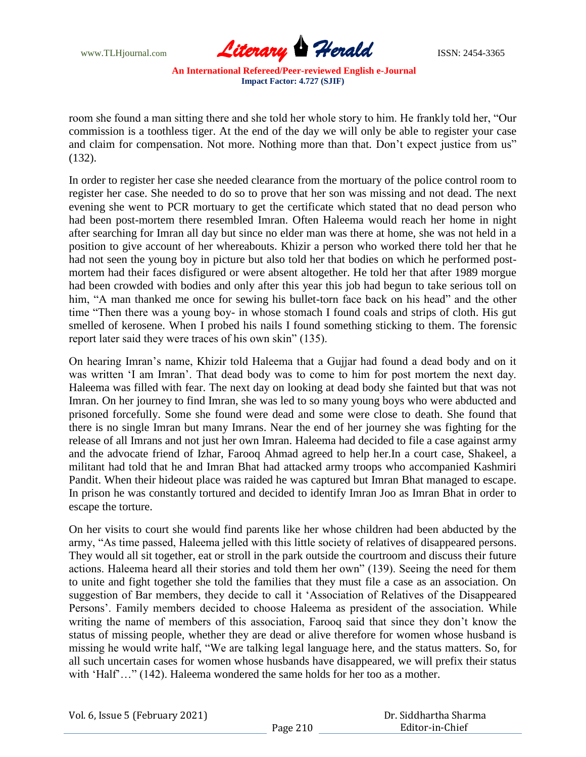

room she found a man sitting there and she told her whole story to him. He frankly told her, "Our commission is a toothless tiger. At the end of the day we will only be able to register your case and claim for compensation. Not more. Nothing more than that. Don't expect justice from us" (132).

In order to register her case she needed clearance from the mortuary of the police control room to register her case. She needed to do so to prove that her son was missing and not dead. The next evening she went to PCR mortuary to get the certificate which stated that no dead person who had been post-mortem there resembled Imran. Often Haleema would reach her home in night after searching for Imran all day but since no elder man was there at home, she was not held in a position to give account of her whereabouts. Khizir a person who worked there told her that he had not seen the young boy in picture but also told her that bodies on which he performed postmortem had their faces disfigured or were absent altogether. He told her that after 1989 morgue had been crowded with bodies and only after this year this job had begun to take serious toll on him, "A man thanked me once for sewing his bullet-torn face back on his head" and the other time "Then there was a young boy- in whose stomach I found coals and strips of cloth. His gut smelled of kerosene. When I probed his nails I found something sticking to them. The forensic report later said they were traces of his own skin" (135).

On hearing Imran"s name, Khizir told Haleema that a Gujjar had found a dead body and on it was written "I am Imran". That dead body was to come to him for post mortem the next day. Haleema was filled with fear. The next day on looking at dead body she fainted but that was not Imran. On her journey to find Imran, she was led to so many young boys who were abducted and prisoned forcefully. Some she found were dead and some were close to death. She found that there is no single Imran but many Imrans. Near the end of her journey she was fighting for the release of all Imrans and not just her own Imran. Haleema had decided to file a case against army and the advocate friend of Izhar, Farooq Ahmad agreed to help her.In a court case, Shakeel, a militant had told that he and Imran Bhat had attacked army troops who accompanied Kashmiri Pandit. When their hideout place was raided he was captured but Imran Bhat managed to escape. In prison he was constantly tortured and decided to identify Imran Joo as Imran Bhat in order to escape the torture.

On her visits to court she would find parents like her whose children had been abducted by the army, "As time passed, Haleema jelled with this little society of relatives of disappeared persons. They would all sit together, eat or stroll in the park outside the courtroom and discuss their future actions. Haleema heard all their stories and told them her own" (139). Seeing the need for them to unite and fight together she told the families that they must file a case as an association. On suggestion of Bar members, they decide to call it "Association of Relatives of the Disappeared Persons'. Family members decided to choose Haleema as president of the association. While writing the name of members of this association, Farooq said that since they don"t know the status of missing people, whether they are dead or alive therefore for women whose husband is missing he would write half, "We are talking legal language here, and the status matters. So, for all such uncertain cases for women whose husbands have disappeared, we will prefix their status with 'Half'..." (142). Haleema wondered the same holds for her too as a mother.